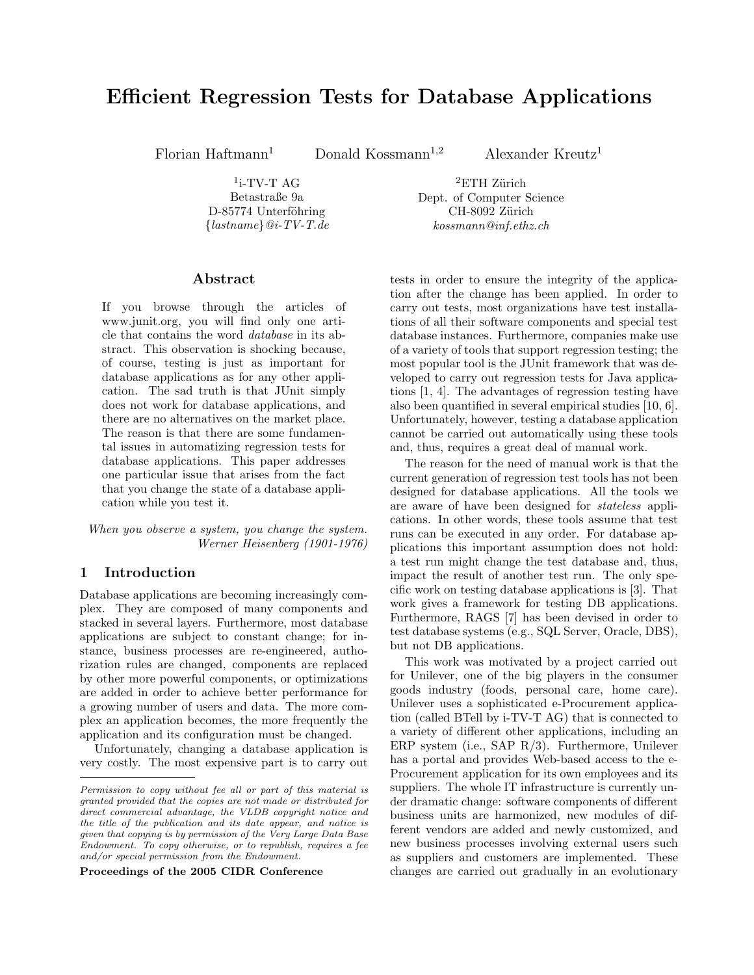# Efficient Regression Tests for Database Applications

Florian Haftmann<sup>1</sup> Donald Kossmann<sup>1,2</sup> Alexander Kreutz<sup>1</sup>

 $1$ <sub>i</sub>-TV-T AG Betastraße 9a D-85774 Unterföhring  ${lastname}$  $@i$ -TV-T.de

 ${}^{2}ETH$  Zürich Dept. of Computer Science CH-8092 Zürich kossmann@inf.ethz.ch

#### Abstract

If you browse through the articles of www.junit.org, you will find only one article that contains the word database in its abstract. This observation is shocking because, of course, testing is just as important for database applications as for any other application. The sad truth is that JUnit simply does not work for database applications, and there are no alternatives on the market place. The reason is that there are some fundamental issues in automatizing regression tests for database applications. This paper addresses one particular issue that arises from the fact that you change the state of a database application while you test it.

When you observe a system, you change the system. Werner Heisenberg (1901-1976)

# 1 Introduction

Database applications are becoming increasingly complex. They are composed of many components and stacked in several layers. Furthermore, most database applications are subject to constant change; for instance, business processes are re-engineered, authorization rules are changed, components are replaced by other more powerful components, or optimizations are added in order to achieve better performance for a growing number of users and data. The more complex an application becomes, the more frequently the application and its configuration must be changed.

Unfortunately, changing a database application is very costly. The most expensive part is to carry out

Proceedings of the 2005 CIDR Conference

tests in order to ensure the integrity of the application after the change has been applied. In order to carry out tests, most organizations have test installations of all their software components and special test database instances. Furthermore, companies make use of a variety of tools that support regression testing; the most popular tool is the JUnit framework that was developed to carry out regression tests for Java applications [1, 4]. The advantages of regression testing have also been quantified in several empirical studies [10, 6]. Unfortunately, however, testing a database application cannot be carried out automatically using these tools and, thus, requires a great deal of manual work.

The reason for the need of manual work is that the current generation of regression test tools has not been designed for database applications. All the tools we are aware of have been designed for stateless applications. In other words, these tools assume that test runs can be executed in any order. For database applications this important assumption does not hold: a test run might change the test database and, thus, impact the result of another test run. The only specific work on testing database applications is [3]. That work gives a framework for testing DB applications. Furthermore, RAGS [7] has been devised in order to test database systems (e.g., SQL Server, Oracle, DBS), but not DB applications.

This work was motivated by a project carried out for Unilever, one of the big players in the consumer goods industry (foods, personal care, home care). Unilever uses a sophisticated e-Procurement application (called BTell by i-TV-T AG) that is connected to a variety of different other applications, including an ERP system (i.e., SAP R/3). Furthermore, Unilever has a portal and provides Web-based access to the e-Procurement application for its own employees and its suppliers. The whole IT infrastructure is currently under dramatic change: software components of different business units are harmonized, new modules of different vendors are added and newly customized, and new business processes involving external users such as suppliers and customers are implemented. These changes are carried out gradually in an evolutionary

Permission to copy without fee all or part of this material is granted provided that the copies are not made or distributed for direct commercial advantage, the VLDB copyright notice and the title of the publication and its date appear, and notice is given that copying is by permission of the Very Large Data Base Endowment. To copy otherwise, or to republish, requires a fee and/or special permission from the Endowment.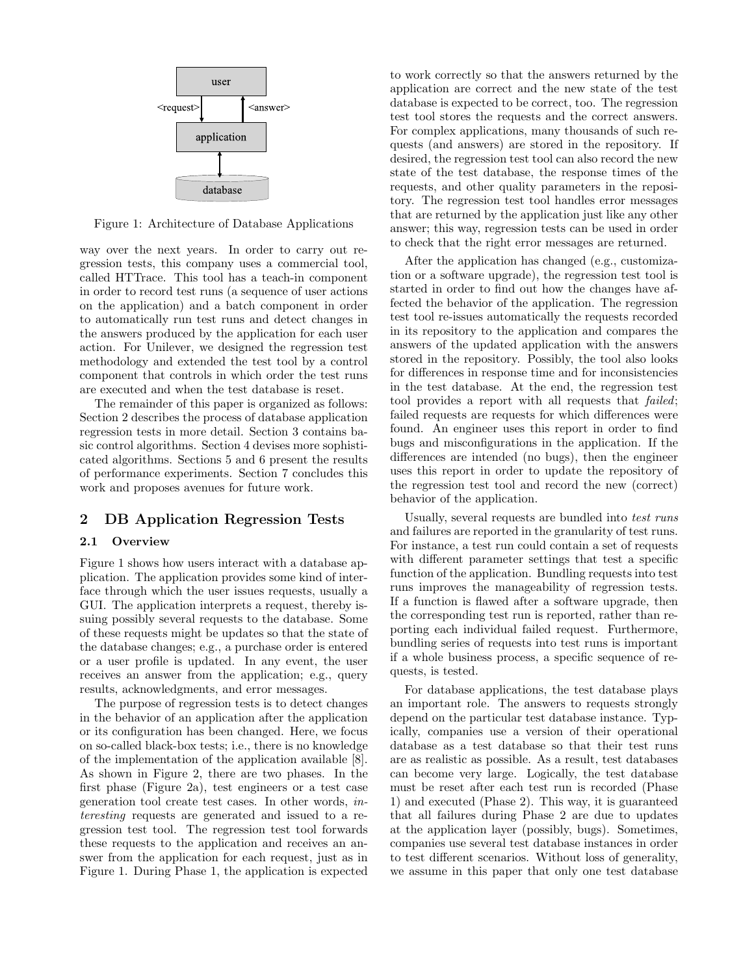

Figure 1: Architecture of Database Applications

way over the next years. In order to carry out regression tests, this company uses a commercial tool, called HTTrace. This tool has a teach-in component in order to record test runs (a sequence of user actions on the application) and a batch component in order to automatically run test runs and detect changes in the answers produced by the application for each user action. For Unilever, we designed the regression test methodology and extended the test tool by a control component that controls in which order the test runs are executed and when the test database is reset.

The remainder of this paper is organized as follows: Section 2 describes the process of database application regression tests in more detail. Section 3 contains basic control algorithms. Section 4 devises more sophisticated algorithms. Sections 5 and 6 present the results of performance experiments. Section 7 concludes this work and proposes avenues for future work.

# 2 DB Application Regression Tests

#### 2.1 Overview

Figure 1 shows how users interact with a database application. The application provides some kind of interface through which the user issues requests, usually a GUI. The application interprets a request, thereby issuing possibly several requests to the database. Some of these requests might be updates so that the state of the database changes; e.g., a purchase order is entered or a user profile is updated. In any event, the user receives an answer from the application; e.g., query results, acknowledgments, and error messages.

The purpose of regression tests is to detect changes in the behavior of an application after the application or its configuration has been changed. Here, we focus on so-called black-box tests; i.e., there is no knowledge of the implementation of the application available [8]. As shown in Figure 2, there are two phases. In the first phase (Figure 2a), test engineers or a test case generation tool create test cases. In other words, interesting requests are generated and issued to a regression test tool. The regression test tool forwards these requests to the application and receives an answer from the application for each request, just as in Figure 1. During Phase 1, the application is expected

to work correctly so that the answers returned by the application are correct and the new state of the test database is expected to be correct, too. The regression test tool stores the requests and the correct answers. For complex applications, many thousands of such requests (and answers) are stored in the repository. If desired, the regression test tool can also record the new state of the test database, the response times of the requests, and other quality parameters in the repository. The regression test tool handles error messages that are returned by the application just like any other answer; this way, regression tests can be used in order to check that the right error messages are returned.

After the application has changed (e.g., customization or a software upgrade), the regression test tool is started in order to find out how the changes have affected the behavior of the application. The regression test tool re-issues automatically the requests recorded in its repository to the application and compares the answers of the updated application with the answers stored in the repository. Possibly, the tool also looks for differences in response time and for inconsistencies in the test database. At the end, the regression test tool provides a report with all requests that failed; failed requests are requests for which differences were found. An engineer uses this report in order to find bugs and misconfigurations in the application. If the differences are intended (no bugs), then the engineer uses this report in order to update the repository of the regression test tool and record the new (correct) behavior of the application.

Usually, several requests are bundled into test runs and failures are reported in the granularity of test runs. For instance, a test run could contain a set of requests with different parameter settings that test a specific function of the application. Bundling requests into test runs improves the manageability of regression tests. If a function is flawed after a software upgrade, then the corresponding test run is reported, rather than reporting each individual failed request. Furthermore, bundling series of requests into test runs is important if a whole business process, a specific sequence of requests, is tested.

For database applications, the test database plays an important role. The answers to requests strongly depend on the particular test database instance. Typically, companies use a version of their operational database as a test database so that their test runs are as realistic as possible. As a result, test databases can become very large. Logically, the test database must be reset after each test run is recorded (Phase 1) and executed (Phase 2). This way, it is guaranteed that all failures during Phase 2 are due to updates at the application layer (possibly, bugs). Sometimes, companies use several test database instances in order to test different scenarios. Without loss of generality, we assume in this paper that only one test database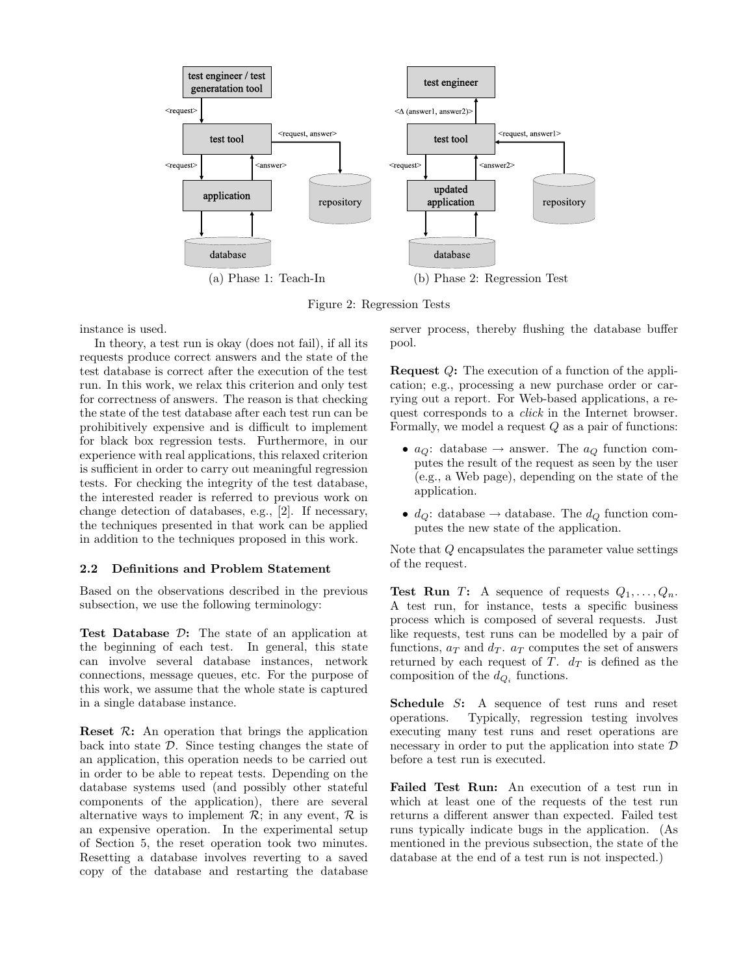

Figure 2: Regression Tests

instance is used.

In theory, a test run is okay (does not fail), if all its requests produce correct answers and the state of the test database is correct after the execution of the test run. In this work, we relax this criterion and only test for correctness of answers. The reason is that checking the state of the test database after each test run can be prohibitively expensive and is difficult to implement for black box regression tests. Furthermore, in our experience with real applications, this relaxed criterion is sufficient in order to carry out meaningful regression tests. For checking the integrity of the test database, the interested reader is referred to previous work on change detection of databases, e.g., [2]. If necessary, the techniques presented in that work can be applied in addition to the techniques proposed in this work.

# 2.2 Definitions and Problem Statement

Based on the observations described in the previous subsection, we use the following terminology:

Test Database D: The state of an application at the beginning of each test. In general, this state can involve several database instances, network connections, message queues, etc. For the purpose of this work, we assume that the whole state is captured in a single database instance.

**Reset**  $\mathcal{R}$ **:** An operation that brings the application back into state  $D$ . Since testing changes the state of an application, this operation needs to be carried out in order to be able to repeat tests. Depending on the database systems used (and possibly other stateful components of the application), there are several alternative ways to implement  $\mathcal{R}$ ; in any event,  $\mathcal{R}$  is an expensive operation. In the experimental setup of Section 5, the reset operation took two minutes. Resetting a database involves reverting to a saved copy of the database and restarting the database

server process, thereby flushing the database buffer pool.

Request Q: The execution of a function of the application; e.g., processing a new purchase order or carrying out a report. For Web-based applications, a request corresponds to a click in the Internet browser. Formally, we model a request  $Q$  as a pair of functions:

- $a_Q$ : database  $\rightarrow$  answer. The  $a_Q$  function computes the result of the request as seen by the user (e.g., a Web page), depending on the state of the application.
- $d_Q$ : database  $\rightarrow$  database. The  $d_Q$  function computes the new state of the application.

Note that Q encapsulates the parameter value settings of the request.

**Test Run** T: A sequence of requests  $Q_1, \ldots, Q_n$ . A test run, for instance, tests a specific business process which is composed of several requests. Just like requests, test runs can be modelled by a pair of functions,  $a_T$  and  $d_T$ .  $a_T$  computes the set of answers returned by each request of T.  $d_T$  is defined as the composition of the  $d_{Q_i}$  functions.

Schedule S: A sequence of test runs and reset operations. Typically, regression testing involves executing many test runs and reset operations are necessary in order to put the application into state  $D$ before a test run is executed.

Failed Test Run: An execution of a test run in which at least one of the requests of the test run returns a different answer than expected. Failed test runs typically indicate bugs in the application. (As mentioned in the previous subsection, the state of the database at the end of a test run is not inspected.)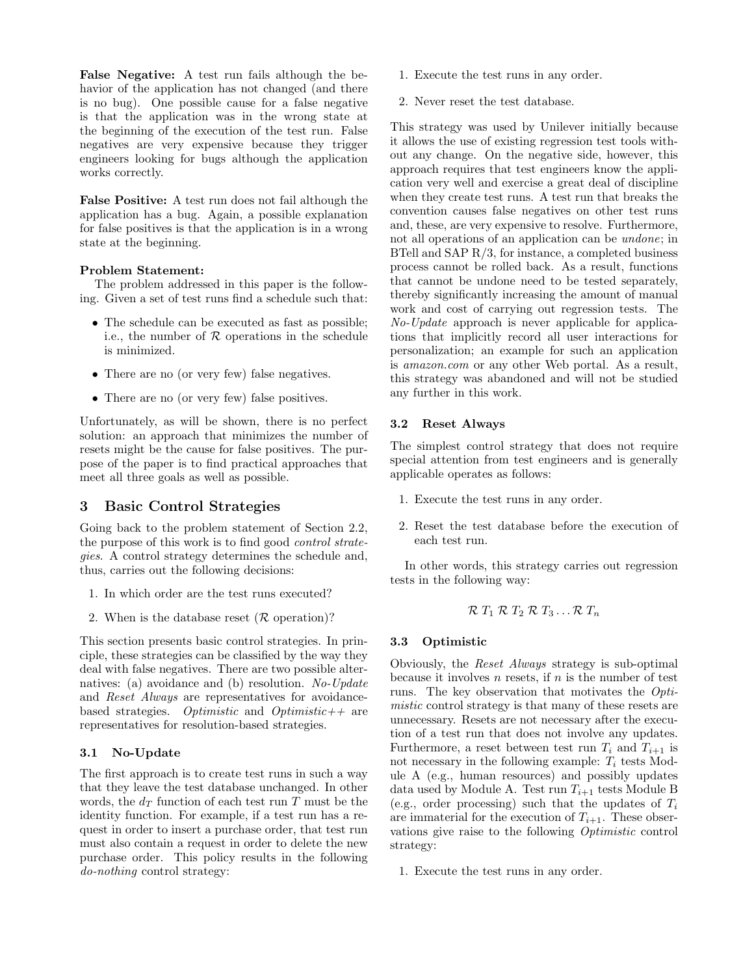False Negative: A test run fails although the behavior of the application has not changed (and there is no bug). One possible cause for a false negative is that the application was in the wrong state at the beginning of the execution of the test run. False negatives are very expensive because they trigger engineers looking for bugs although the application works correctly.

False Positive: A test run does not fail although the application has a bug. Again, a possible explanation for false positives is that the application is in a wrong state at the beginning.

# Problem Statement:

The problem addressed in this paper is the following. Given a set of test runs find a schedule such that:

- The schedule can be executed as fast as possible; i.e., the number of  $R$  operations in the schedule is minimized.
- There are no (or very few) false negatives.
- There are no (or very few) false positives.

Unfortunately, as will be shown, there is no perfect solution: an approach that minimizes the number of resets might be the cause for false positives. The purpose of the paper is to find practical approaches that meet all three goals as well as possible.

# 3 Basic Control Strategies

Going back to the problem statement of Section 2.2, the purpose of this work is to find good *control strate*gies. A control strategy determines the schedule and, thus, carries out the following decisions:

- 1. In which order are the test runs executed?
- 2. When is the database reset ( $\mathcal R$  operation)?

This section presents basic control strategies. In principle, these strategies can be classified by the way they deal with false negatives. There are two possible alternatives: (a) avoidance and (b) resolution. No-Update and Reset Always are representatives for avoidancebased strategies. Optimistic and Optimistic  $+$  are representatives for resolution-based strategies.

# 3.1 No-Update

The first approach is to create test runs in such a way that they leave the test database unchanged. In other words, the  $d_T$  function of each test run T must be the identity function. For example, if a test run has a request in order to insert a purchase order, that test run must also contain a request in order to delete the new purchase order. This policy results in the following do-nothing control strategy:

- 1. Execute the test runs in any order.
- 2. Never reset the test database.

This strategy was used by Unilever initially because it allows the use of existing regression test tools without any change. On the negative side, however, this approach requires that test engineers know the application very well and exercise a great deal of discipline when they create test runs. A test run that breaks the convention causes false negatives on other test runs and, these, are very expensive to resolve. Furthermore, not all operations of an application can be undone; in BTell and SAP R/3, for instance, a completed business process cannot be rolled back. As a result, functions that cannot be undone need to be tested separately, thereby significantly increasing the amount of manual work and cost of carrying out regression tests. The No-Update approach is never applicable for applications that implicitly record all user interactions for personalization; an example for such an application is amazon.com or any other Web portal. As a result, this strategy was abandoned and will not be studied any further in this work.

# 3.2 Reset Always

The simplest control strategy that does not require special attention from test engineers and is generally applicable operates as follows:

- 1. Execute the test runs in any order.
- 2. Reset the test database before the execution of each test run.

In other words, this strategy carries out regression tests in the following way:

$$
\mathcal{R} T_1 \mathcal{R} T_2 \mathcal{R} T_3 \ldots \mathcal{R} T_n
$$

# 3.3 Optimistic

Obviously, the Reset Always strategy is sub-optimal because it involves  $n$  resets, if  $n$  is the number of test runs. The key observation that motivates the Optimistic control strategy is that many of these resets are unnecessary. Resets are not necessary after the execution of a test run that does not involve any updates. Furthermore, a reset between test run  $T_i$  and  $T_{i+1}$  is not necessary in the following example:  $T_i$  tests Module A (e.g., human resources) and possibly updates data used by Module A. Test run  $T_{i+1}$  tests Module B (e.g., order processing) such that the updates of  $T_i$ are immaterial for the execution of  $T_{i+1}$ . These observations give raise to the following Optimistic control strategy:

1. Execute the test runs in any order.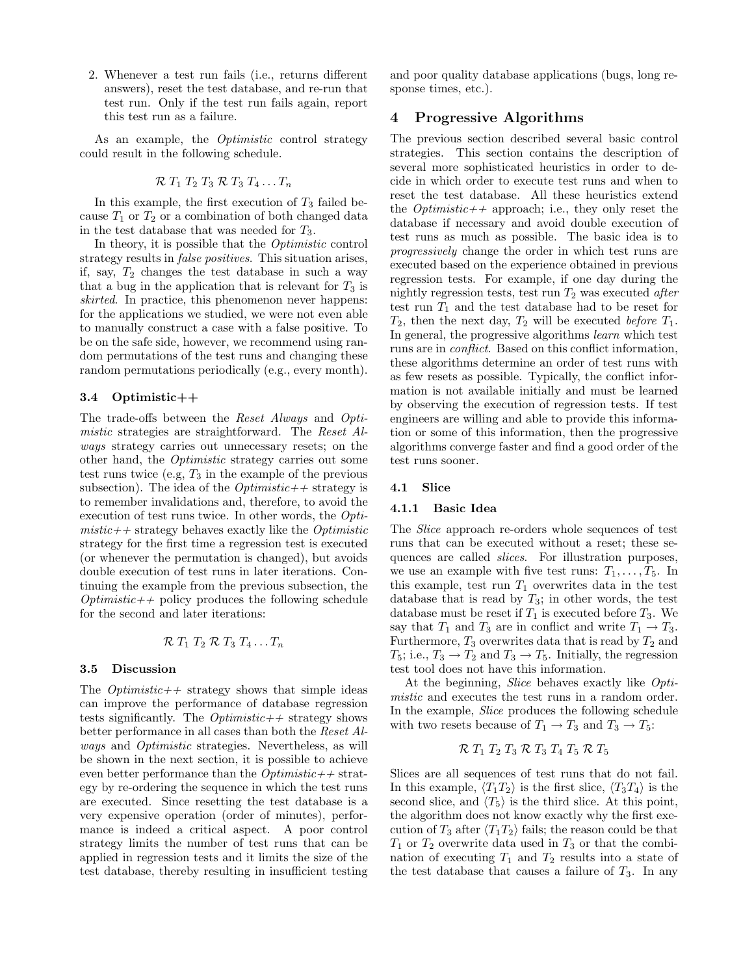2. Whenever a test run fails (i.e., returns different answers), reset the test database, and re-run that test run. Only if the test run fails again, report this test run as a failure.

As an example, the Optimistic control strategy could result in the following schedule.

$$
\mathcal{R} T_1 T_2 T_3 \mathcal{R} T_3 T_4 \ldots T_n
$$

In this example, the first execution of  $T_3$  failed because  $T_1$  or  $T_2$  or a combination of both changed data in the test database that was needed for  $T_3$ .

In theory, it is possible that the Optimistic control strategy results in *false positives*. This situation arises, if, say,  $T_2$  changes the test database in such a way that a bug in the application that is relevant for  $T_3$  is skirted. In practice, this phenomenon never happens: for the applications we studied, we were not even able to manually construct a case with a false positive. To be on the safe side, however, we recommend using random permutations of the test runs and changing these random permutations periodically (e.g., every month).

#### 3.4 Optimistic++

The trade-offs between the Reset Always and Optimistic strategies are straightforward. The Reset Always strategy carries out unnecessary resets; on the other hand, the Optimistic strategy carries out some test runs twice (e.g,  $T_3$  in the example of the previous subsection). The idea of the  $Optimistic++$  strategy is to remember invalidations and, therefore, to avoid the execution of test runs twice. In other words, the Opti $mistic++$  strategy behaves exactly like the *Optimistic* strategy for the first time a regression test is executed (or whenever the permutation is changed), but avoids double execution of test runs in later iterations. Continuing the example from the previous subsection, the  $Optimistic++$  policy produces the following schedule for the second and later iterations:

$$
\mathcal{R} T_1 T_2 \mathcal{R} T_3 T_4 \ldots T_n
$$

#### 3.5 Discussion

The  $Optimistic++$  strategy shows that simple ideas can improve the performance of database regression tests significantly. The  $Optimistic++$  strategy shows better performance in all cases than both the Reset Always and Optimistic strategies. Nevertheless, as will be shown in the next section, it is possible to achieve even better performance than the  $Optimistic++$  strategy by re-ordering the sequence in which the test runs are executed. Since resetting the test database is a very expensive operation (order of minutes), performance is indeed a critical aspect. A poor control strategy limits the number of test runs that can be applied in regression tests and it limits the size of the test database, thereby resulting in insufficient testing

and poor quality database applications (bugs, long response times, etc.).

# 4 Progressive Algorithms

The previous section described several basic control strategies. This section contains the description of several more sophisticated heuristics in order to decide in which order to execute test runs and when to reset the test database. All these heuristics extend the *Optimistic*++ approach; i.e., they only reset the database if necessary and avoid double execution of test runs as much as possible. The basic idea is to progressively change the order in which test runs are executed based on the experience obtained in previous regression tests. For example, if one day during the nightly regression tests, test run  $T_2$  was executed after test run  $T_1$  and the test database had to be reset for  $T_2$ , then the next day,  $T_2$  will be executed *before*  $T_1$ . In general, the progressive algorithms learn which test runs are in conflict. Based on this conflict information, these algorithms determine an order of test runs with as few resets as possible. Typically, the conflict information is not available initially and must be learned by observing the execution of regression tests. If test engineers are willing and able to provide this information or some of this information, then the progressive algorithms converge faster and find a good order of the test runs sooner.

#### 4.1 Slice

#### 4.1.1 Basic Idea

The Slice approach re-orders whole sequences of test runs that can be executed without a reset; these sequences are called slices. For illustration purposes, we use an example with five test runs:  $T_1, \ldots, T_5$ . In this example, test run  $T_1$  overwrites data in the test database that is read by  $T_3$ ; in other words, the test database must be reset if  $T_1$  is executed before  $T_3$ . We say that  $T_1$  and  $T_3$  are in conflict and write  $T_1 \rightarrow T_3$ . Furthermore,  $T_3$  overwrites data that is read by  $T_2$  and  $T_5$ ; i.e.,  $T_3 \rightarrow T_2$  and  $T_3 \rightarrow T_5$ . Initially, the regression test tool does not have this information.

At the beginning, Slice behaves exactly like Optimistic and executes the test runs in a random order. In the example, Slice produces the following schedule with two resets because of  $T_1 \rightarrow T_3$  and  $T_3 \rightarrow T_5$ :

$$
\mathcal{R} T_1 T_2 T_3 \mathcal{R} T_3 T_4 T_5 \mathcal{R} T_5
$$

Slices are all sequences of test runs that do not fail. In this example,  $\langle T_1T_2 \rangle$  is the first slice,  $\langle T_3T_4 \rangle$  is the second slice, and  $\langle T_5 \rangle$  is the third slice. At this point, the algorithm does not know exactly why the first execution of  $T_3$  after  $\langle T_1T_2 \rangle$  fails; the reason could be that  $T_1$  or  $T_2$  overwrite data used in  $T_3$  or that the combination of executing  $T_1$  and  $T_2$  results into a state of the test database that causes a failure of  $T_3$ . In any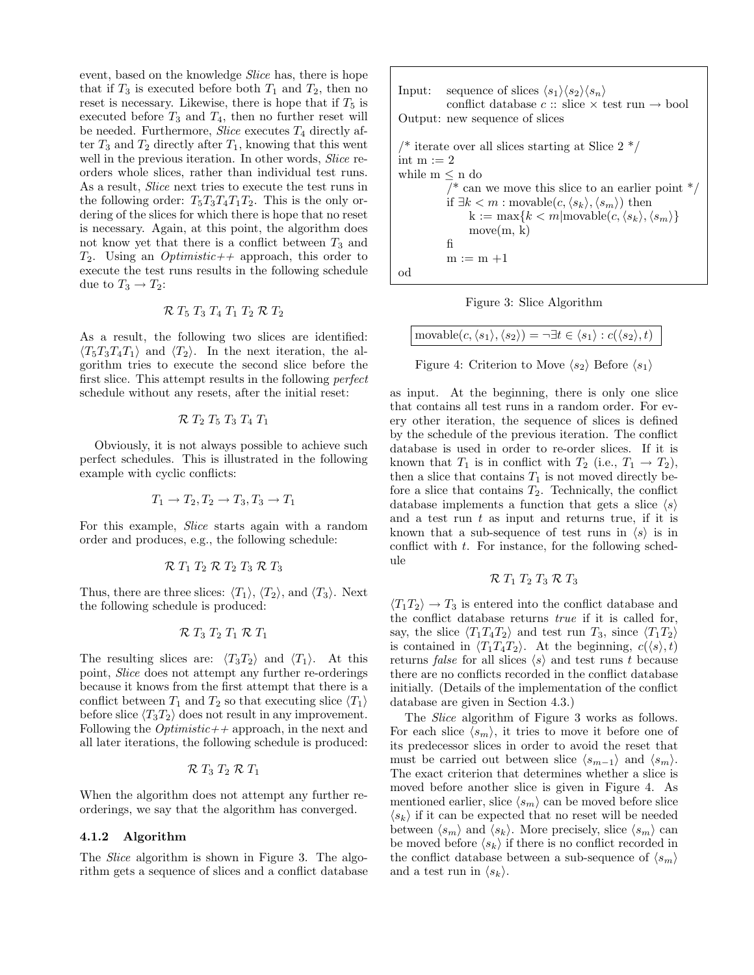event, based on the knowledge Slice has, there is hope that if  $T_3$  is executed before both  $T_1$  and  $T_2$ , then no reset is necessary. Likewise, there is hope that if  $T_5$  is executed before  $T_3$  and  $T_4$ , then no further reset will be needed. Furthermore, *Slice* executes  $T_4$  directly after  $T_3$  and  $T_2$  directly after  $T_1$ , knowing that this went well in the previous iteration. In other words, *Slice* reorders whole slices, rather than individual test runs. As a result, *Slice* next tries to execute the test runs in the following order:  $T_5T_3T_4T_1T_2$ . This is the only ordering of the slices for which there is hope that no reset is necessary. Again, at this point, the algorithm does not know yet that there is a conflict between  $T_3$  and  $T_2$ . Using an *Optimistic*++ approach, this order to execute the test runs results in the following schedule due to  $T_3 \rightarrow T_2$ :

$$
\mathcal{R} T_5 T_3 T_4 T_1 T_2 \mathcal{R} T_2
$$

As a result, the following two slices are identified:  $\langle T_5T_3T_4T_1 \rangle$  and  $\langle T_2 \rangle$ . In the next iteration, the algorithm tries to execute the second slice before the first slice. This attempt results in the following *perfect* schedule without any resets, after the initial reset:

$$
\mathcal{R} T_2 T_5 T_3 T_4 T_1
$$

Obviously, it is not always possible to achieve such perfect schedules. This is illustrated in the following example with cyclic conflicts:

$$
T_1 \rightarrow T_2, T_2 \rightarrow T_3, T_3 \rightarrow T_1
$$

For this example, Slice starts again with a random order and produces, e.g., the following schedule:

$$
\mathcal{R} T_1 T_2 \mathcal{R} T_2 T_3 \mathcal{R} T_3
$$

Thus, there are three slices:  $\langle T_1 \rangle$ ,  $\langle T_2 \rangle$ , and  $\langle T_3 \rangle$ . Next the following schedule is produced:

$$
\mathcal{R} \mathrel{T}_3 \mathrel{T}_2 \mathrel{T}_1 \mathcal{R} \mathrel{T}_1
$$

The resulting slices are:  $\langle T_3T_2 \rangle$  and  $\langle T_1 \rangle$ . At this point, Slice does not attempt any further re-orderings because it knows from the first attempt that there is a conflict between  $T_1$  and  $T_2$  so that executing slice  $\langle T_1 \rangle$ before slice  $\langle T_3T_2 \rangle$  does not result in any improvement. Following the  $Optimistic++$  approach, in the next and all later iterations, the following schedule is produced:

$$
\mathcal{R} T_3 T_2 \mathcal{R} T_1
$$

When the algorithm does not attempt any further reorderings, we say that the algorithm has converged.

## 4.1.2 Algorithm

The *Slice* algorithm is shown in Figure 3. The algorithm gets a sequence of slices and a conflict database

Input: sequence of slices 
$$
\langle s_1 \rangle \langle s_2 \rangle \langle s_n \rangle
$$
 conflict database  $c$  :: slice  $\times$  test run  $\rightarrow$  bool Output: new sequence of slices\n\n $\rangle^*$  iterate over all slices starting at Slice 2 \*/\nint m := 2\nwhile m \leq n do\n  $\rangle^*$  can we move this slice to an earlier point \*/\n if  $\exists k < m : \text{movable}(c, \langle s_k \rangle, \langle s_m \rangle)$  then\n  $k := \max\{k < m | \text{movable}(c, \langle s_k \rangle, \langle s_m \rangle)\}$ \n move(m, k)\n  $f_1$ \n m := m +1\n od



$$
\text{movable}(c, \langle s_1 \rangle, \langle s_2 \rangle) = \neg \exists t \in \langle s_1 \rangle : c(\langle s_2 \rangle, t)
$$

Figure 4: Criterion to Move  $\langle s_2 \rangle$  Before  $\langle s_1 \rangle$ 

as input. At the beginning, there is only one slice that contains all test runs in a random order. For every other iteration, the sequence of slices is defined by the schedule of the previous iteration. The conflict database is used in order to re-order slices. If it is known that  $T_1$  is in conflict with  $T_2$  (i.e.,  $T_1 \rightarrow T_2$ ), then a slice that contains  $T_1$  is not moved directly before a slice that contains  $T_2$ . Technically, the conflict database implements a function that gets a slice  $\langle s \rangle$ and a test run  $t$  as input and returns true, if it is known that a sub-sequence of test runs in  $\langle s \rangle$  is in conflict with  $t$ . For instance, for the following schedule

$$
\mathcal{R} T_1 T_2 T_3 \mathcal{R} T_3
$$

 $\langle T_1 T_2 \rangle \rightarrow T_3$  is entered into the conflict database and the conflict database returns true if it is called for, say, the slice  $\langle T_1T_4T_2\rangle$  and test run  $T_3$ , since  $\langle T_1T_2\rangle$ is contained in  $\langle T_1T_4T_2\rangle$ . At the beginning,  $c(\langle s \rangle, t)$ returns false for all slices  $\langle s \rangle$  and test runs t because there are no conflicts recorded in the conflict database initially. (Details of the implementation of the conflict database are given in Section 4.3.)

The Slice algorithm of Figure 3 works as follows. For each slice  $\langle s_m \rangle$ , it tries to move it before one of its predecessor slices in order to avoid the reset that must be carried out between slice  $\langle s_{m-1} \rangle$  and  $\langle s_m \rangle$ . The exact criterion that determines whether a slice is moved before another slice is given in Figure 4. As mentioned earlier, slice  $\langle s_m \rangle$  can be moved before slice  $\langle s_k \rangle$  if it can be expected that no reset will be needed between  $\langle s_m \rangle$  and  $\langle s_k \rangle$ . More precisely, slice  $\langle s_m \rangle$  can be moved before  $\langle s_k \rangle$  if there is no conflict recorded in the conflict database between a sub-sequence of  $\langle s_m \rangle$ and a test run in  $\langle s_k \rangle$ .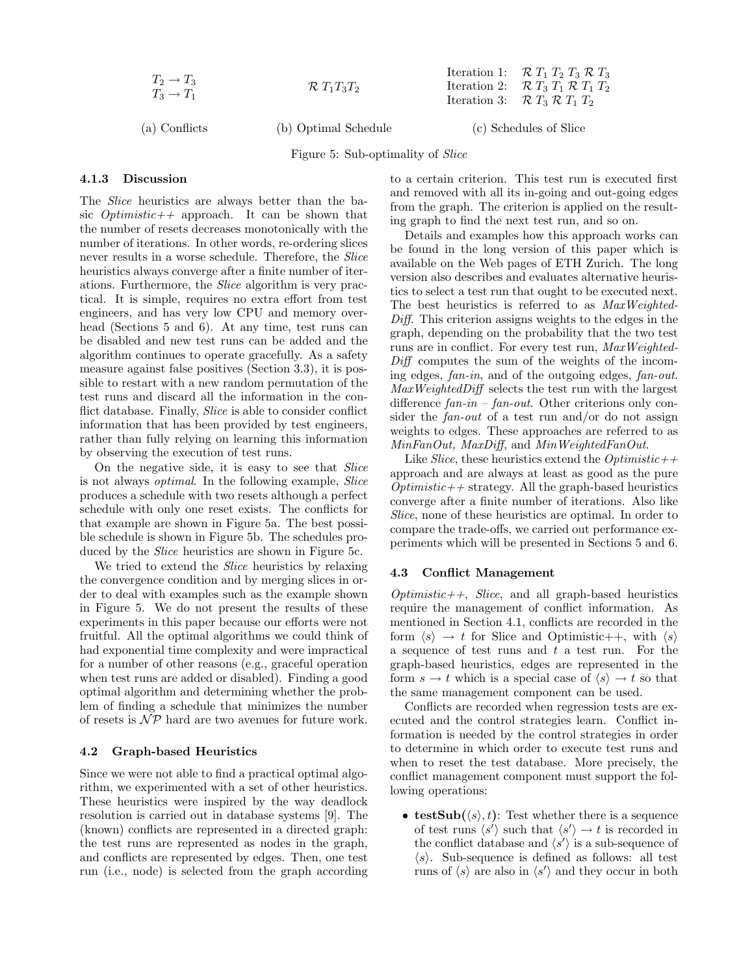$$
T_2 \to T_3T_3 \to T_1T_2
$$
  

$$
\mathcal{R} T_1 T_3 T_2
$$

(a) Conflicts (b) Optimal Schedule (c) Schedules of Slice

Iteration 1:  $\mathcal{R} T_1 T_2 T_3 \mathcal{R} T_3$ Iteration 2:  $\mathcal{R} T_3 T_1 \mathcal{R} T_1 T_2$ Iteration 3:  $\mathcal{R} T_3 \mathcal{R} T_1 T_2$ 

Figure 5: Sub-optimality of Slice

#### 4.1.3 Discussion

The Slice heuristics are always better than the basic  $Optimistic++$  approach. It can be shown that the number of resets decreases monotonically with the number of iterations. In other words, re-ordering slices never results in a worse schedule. Therefore, the *Slice* heuristics always converge after a finite number of iterations. Furthermore, the Slice algorithm is very practical. It is simple, requires no extra effort from test engineers, and has very low CPU and memory overhead (Sections 5 and 6). At any time, test runs can be disabled and new test runs can be added and the algorithm continues to operate gracefully. As a safety measure against false positives (Section 3.3), it is possible to restart with a new random permutation of the test runs and discard all the information in the conflict database. Finally, *Slice* is able to consider conflict information that has been provided by test engineers, rather than fully relying on learning this information by observing the execution of test runs.

On the negative side, it is easy to see that Slice is not always optimal. In the following example, Slice produces a schedule with two resets although a perfect schedule with only one reset exists. The conflicts for that example are shown in Figure 5a. The best possible schedule is shown in Figure 5b. The schedules produced by the *Slice* heuristics are shown in Figure 5c.

We tried to extend the *Slice* heuristics by relaxing the convergence condition and by merging slices in order to deal with examples such as the example shown in Figure 5. We do not present the results of these experiments in this paper because our efforts were not fruitful. All the optimal algorithms we could think of had exponential time complexity and were impractical for a number of other reasons (e.g., graceful operation when test runs are added or disabled). Finding a good optimal algorithm and determining whether the problem of finding a schedule that minimizes the number of resets is  $\mathcal{NP}$  hard are two avenues for future work.

# 4.2 Graph-based Heuristics

Since we were not able to find a practical optimal algorithm, we experimented with a set of other heuristics. These heuristics were inspired by the way deadlock resolution is carried out in database systems [9]. The (known) conflicts are represented in a directed graph: the test runs are represented as nodes in the graph, and conflicts are represented by edges. Then, one test run (i.e., node) is selected from the graph according to a certain criterion. This test run is executed first and removed with all its in-going and out-going edges from the graph. The criterion is applied on the resulting graph to find the next test run, and so on.

Details and examples how this approach works can be found in the long version of this paper which is available on the Web pages of ETH Zurich. The long version also describes and evaluates alternative heuristics to select a test run that ought to be executed next. The best heuristics is referred to as MaxWeighted-Diff. This criterion assigns weights to the edges in the graph, depending on the probability that the two test runs are in conflict. For every test run, MaxWeighted-Diff computes the sum of the weights of the incoming edges, fan-in, and of the outgoing edges, fan-out. MaxWeightedDiff selects the test run with the largest difference  $fan-in$  –  $fan-out$ . Other criterions only consider the fan-out of a test run and/or do not assign weights to edges. These approaches are referred to as MinFanOut, MaxDiff, and MinWeightedFanOut.

Like Slice, these heuristics extend the  $Optimistic++$ approach and are always at least as good as the pure  $Optimistic++$  strategy. All the graph-based heuristics converge after a finite number of iterations. Also like Slice, none of these heuristics are optimal. In order to compare the trade-offs, we carried out performance experiments which will be presented in Sections 5 and 6.

# 4.3 Conflict Management

 $Optimistic++$ , *Slice*, and all graph-based heuristics require the management of conflict information. As mentioned in Section 4.1, conflicts are recorded in the form  $\langle s \rangle \rightarrow t$  for Slice and Optimistic++, with  $\langle s \rangle$ a sequence of test runs and  $t$  a test run. For the graph-based heuristics, edges are represented in the form  $s \to t$  which is a special case of  $\langle s \rangle \to t$  so that the same management component can be used.

Conflicts are recorded when regression tests are executed and the control strategies learn. Conflict information is needed by the control strategies in order to determine in which order to execute test runs and when to reset the test database. More precisely, the conflict management component must support the following operations:

• testSub $(\langle s \rangle, t)$ : Test whether there is a sequence of test runs  $\langle s' \rangle$  such that  $\langle s' \rangle \rightarrow t$  is recorded in the conflict database and  $\langle s' \rangle$  is a sub-sequence of  $\langle s \rangle$ . Sub-sequence is defined as follows: all test runs of  $\langle s \rangle$  are also in  $\langle s' \rangle$  and they occur in both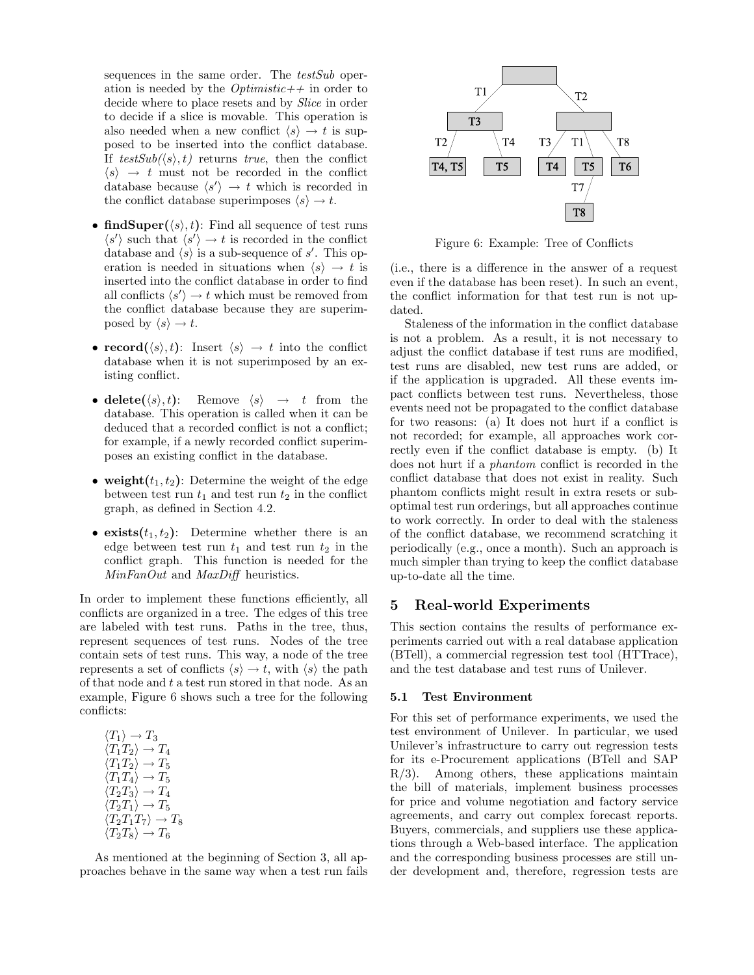sequences in the same order. The testSub operation is needed by the  $Optimistic++$  in order to decide where to place resets and by Slice in order to decide if a slice is movable. This operation is also needed when a new conflict  $\langle s \rangle \rightarrow t$  is supposed to be inserted into the conflict database. If  $testSub(\langle s \rangle, t)$  returns true, then the conflict  $\langle s \rangle \rightarrow t$  must not be recorded in the conflict database because  $\langle s' \rangle \rightarrow t$  which is recorded in the conflict database superimposes  $\langle s \rangle \rightarrow t$ .

- find Super $(\langle s \rangle, t)$ : Find all sequence of test runs  $\langle s' \rangle$  such that  $\langle s' \rangle \rightarrow t$  is recorded in the conflict database and  $\langle s \rangle$  is a sub-sequence of s'. This operation is needed in situations when  $\langle s \rangle \rightarrow t$  is inserted into the conflict database in order to find all conflicts  $\langle s' \rangle \rightarrow t$  which must be removed from the conflict database because they are superimposed by  $\langle s \rangle \rightarrow t$ .
- record $(\langle s \rangle, t)$ : Insert  $\langle s \rangle \rightarrow t$  into the conflict database when it is not superimposed by an existing conflict.
- delete $(\langle s \rangle, t)$ : Remove  $\langle s \rangle \rightarrow t$  from the database. This operation is called when it can be deduced that a recorded conflict is not a conflict; for example, if a newly recorded conflict superimposes an existing conflict in the database.
- weight $(t_1, t_2)$ : Determine the weight of the edge between test run  $t_1$  and test run  $t_2$  in the conflict graph, as defined in Section 4.2.
- exists $(t_1, t_2)$ : Determine whether there is an edge between test run  $t_1$  and test run  $t_2$  in the conflict graph. This function is needed for the MinFanOut and MaxDiff heuristics.

In order to implement these functions efficiently, all conflicts are organized in a tree. The edges of this tree are labeled with test runs. Paths in the tree, thus, represent sequences of test runs. Nodes of the tree contain sets of test runs. This way, a node of the tree represents a set of conflicts  $\langle s \rangle \rightarrow t$ , with  $\langle s \rangle$  the path of that node and  $t$  a test run stored in that node. As an example, Figure 6 shows such a tree for the following conflicts:

$$
\langle T_1 \rangle \to T_3
$$
  
\n
$$
\langle T_1 T_2 \rangle \to T_4
$$
  
\n
$$
\langle T_1 T_2 \rangle \to T_5
$$
  
\n
$$
\langle T_1 T_4 \rangle \to T_5
$$
  
\n
$$
\langle T_2 T_3 \rangle \to T_4
$$
  
\n
$$
\langle T_2 T_1 \rangle \to T_5
$$
  
\n
$$
\langle T_2 T_1 T_7 \rangle \to T_8
$$
  
\n
$$
\langle T_2 T_8 \rangle \to T_6
$$

As mentioned at the beginning of Section 3, all approaches behave in the same way when a test run fails



Figure 6: Example: Tree of Conflicts

(i.e., there is a difference in the answer of a request even if the database has been reset). In such an event, the conflict information for that test run is not updated.

Staleness of the information in the conflict database is not a problem. As a result, it is not necessary to adjust the conflict database if test runs are modified, test runs are disabled, new test runs are added, or if the application is upgraded. All these events impact conflicts between test runs. Nevertheless, those events need not be propagated to the conflict database for two reasons: (a) It does not hurt if a conflict is not recorded; for example, all approaches work correctly even if the conflict database is empty. (b) It does not hurt if a phantom conflict is recorded in the conflict database that does not exist in reality. Such phantom conflicts might result in extra resets or suboptimal test run orderings, but all approaches continue to work correctly. In order to deal with the staleness of the conflict database, we recommend scratching it periodically (e.g., once a month). Such an approach is much simpler than trying to keep the conflict database up-to-date all the time.

# 5 Real-world Experiments

This section contains the results of performance experiments carried out with a real database application (BTell), a commercial regression test tool (HTTrace), and the test database and test runs of Unilever.

#### 5.1 Test Environment

For this set of performance experiments, we used the test environment of Unilever. In particular, we used Unilever's infrastructure to carry out regression tests for its e-Procurement applications (BTell and SAP R/3). Among others, these applications maintain the bill of materials, implement business processes for price and volume negotiation and factory service agreements, and carry out complex forecast reports. Buyers, commercials, and suppliers use these applications through a Web-based interface. The application and the corresponding business processes are still under development and, therefore, regression tests are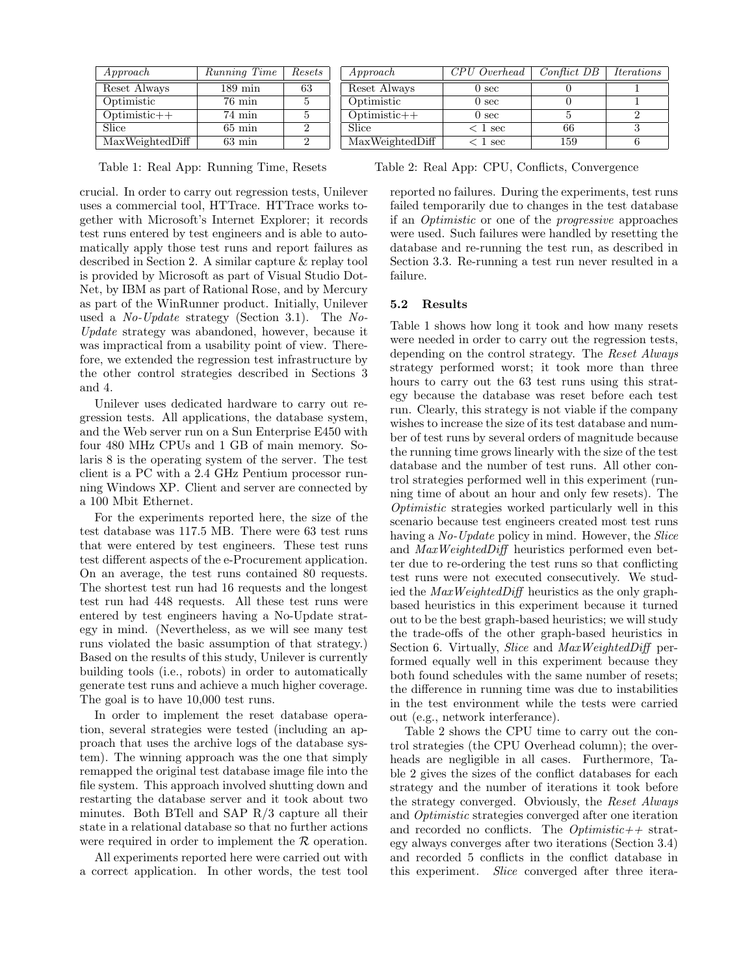| $A$ <i>p</i> $proach$ | Running Time         | Resets |
|-----------------------|----------------------|--------|
| Reset Always          | $189 \,\mathrm{min}$ | 63     |
| Optimistic            | $76 \text{ min}$     | 5      |
| $Optimistic++$        | $74 \text{ min}$     | 5      |
| Slice                 | $65 \text{ min}$     | 9      |
| MaxWeightedDiff       | $63 \text{ min}$     |        |

Table 1: Real App: Running Time, Resets

crucial. In order to carry out regression tests, Unilever uses a commercial tool, HTTrace. HTTrace works together with Microsoft's Internet Explorer; it records test runs entered by test engineers and is able to automatically apply those test runs and report failures as described in Section 2. A similar capture & replay tool is provided by Microsoft as part of Visual Studio Dot-Net, by IBM as part of Rational Rose, and by Mercury as part of the WinRunner product. Initially, Unilever used a  $No$ -Update strategy (Section 3.1). The No-Update strategy was abandoned, however, because it was impractical from a usability point of view. Therefore, we extended the regression test infrastructure by the other control strategies described in Sections 3 and 4.

Unilever uses dedicated hardware to carry out regression tests. All applications, the database system, and the Web server run on a Sun Enterprise E450 with four 480 MHz CPUs and 1 GB of main memory. Solaris 8 is the operating system of the server. The test client is a PC with a 2.4 GHz Pentium processor running Windows XP. Client and server are connected by a 100 Mbit Ethernet.

For the experiments reported here, the size of the test database was 117.5 MB. There were 63 test runs that were entered by test engineers. These test runs test different aspects of the e-Procurement application. On an average, the test runs contained 80 requests. The shortest test run had 16 requests and the longest test run had 448 requests. All these test runs were entered by test engineers having a No-Update strategy in mind. (Nevertheless, as we will see many test runs violated the basic assumption of that strategy.) Based on the results of this study, Unilever is currently building tools (i.e., robots) in order to automatically generate test runs and achieve a much higher coverage. The goal is to have 10,000 test runs.

In order to implement the reset database operation, several strategies were tested (including an approach that uses the archive logs of the database system). The winning approach was the one that simply remapped the original test database image file into the file system. This approach involved shutting down and restarting the database server and it took about two minutes. Both BTell and SAP R/3 capture all their state in a relational database so that no further actions were required in order to implement the  $R$  operation.

All experiments reported here were carried out with a correct application. In other words, the test tool

| Approach        | CPU Overhead     | Conflict DB | <i><u>Iterations</u></i> |
|-----------------|------------------|-------------|--------------------------|
| Reset Always    | 0 <sub>sec</sub> |             |                          |
| Optimistic      | 0 <sub>sec</sub> |             |                          |
| $Optimistic++$  | 0 <sub>sec</sub> |             |                          |
| Slice           | $< 1$ sec        | 66          |                          |
| MaxWeightedDiff | 1 sec            | 159         |                          |

Table 2: Real App: CPU, Conflicts, Convergence

reported no failures. During the experiments, test runs failed temporarily due to changes in the test database if an Optimistic or one of the progressive approaches were used. Such failures were handled by resetting the database and re-running the test run, as described in Section 3.3. Re-running a test run never resulted in a failure.

## 5.2 Results

Table 1 shows how long it took and how many resets were needed in order to carry out the regression tests, depending on the control strategy. The Reset Always strategy performed worst; it took more than three hours to carry out the 63 test runs using this strategy because the database was reset before each test run. Clearly, this strategy is not viable if the company wishes to increase the size of its test database and number of test runs by several orders of magnitude because the running time grows linearly with the size of the test database and the number of test runs. All other control strategies performed well in this experiment (running time of about an hour and only few resets). The Optimistic strategies worked particularly well in this scenario because test engineers created most test runs having a No-Update policy in mind. However, the Slice and MaxWeightedDiff heuristics performed even better due to re-ordering the test runs so that conflicting test runs were not executed consecutively. We studied the MaxWeightedDiff heuristics as the only graphbased heuristics in this experiment because it turned out to be the best graph-based heuristics; we will study the trade-offs of the other graph-based heuristics in Section 6. Virtually, Slice and MaxWeightedDiff performed equally well in this experiment because they both found schedules with the same number of resets; the difference in running time was due to instabilities in the test environment while the tests were carried out (e.g., network interferance).

Table 2 shows the CPU time to carry out the control strategies (the CPU Overhead column); the overheads are negligible in all cases. Furthermore, Table 2 gives the sizes of the conflict databases for each strategy and the number of iterations it took before the strategy converged. Obviously, the Reset Always and Optimistic strategies converged after one iteration and recorded no conflicts. The  $Optimistic++$  strategy always converges after two iterations (Section 3.4) and recorded 5 conflicts in the conflict database in this experiment. Slice converged after three itera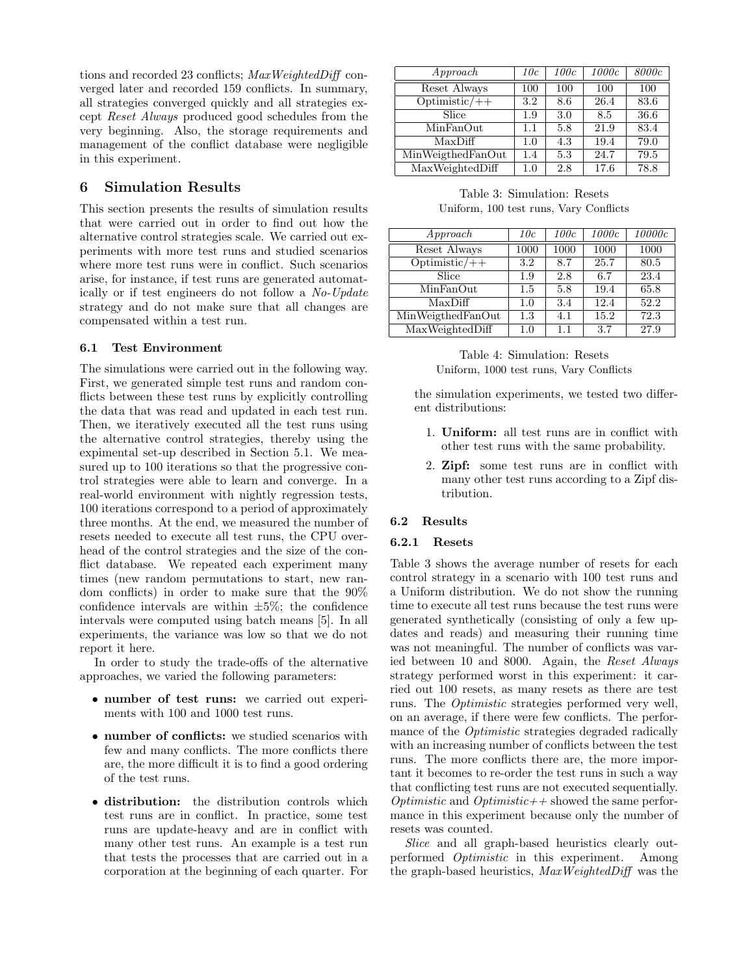tions and recorded 23 conflicts; MaxWeightedDiff converged later and recorded 159 conflicts. In summary, all strategies converged quickly and all strategies except Reset Always produced good schedules from the very beginning. Also, the storage requirements and management of the conflict database were negligible in this experiment.

# 6 Simulation Results

This section presents the results of simulation results that were carried out in order to find out how the alternative control strategies scale. We carried out experiments with more test runs and studied scenarios where more test runs were in conflict. Such scenarios arise, for instance, if test runs are generated automatically or if test engineers do not follow a No-Update strategy and do not make sure that all changes are compensated within a test run.

# 6.1 Test Environment

The simulations were carried out in the following way. First, we generated simple test runs and random conflicts between these test runs by explicitly controlling the data that was read and updated in each test run. Then, we iteratively executed all the test runs using the alternative control strategies, thereby using the expimental set-up described in Section 5.1. We measured up to 100 iterations so that the progressive control strategies were able to learn and converge. In a real-world environment with nightly regression tests, 100 iterations correspond to a period of approximately three months. At the end, we measured the number of resets needed to execute all test runs, the CPU overhead of the control strategies and the size of the conflict database. We repeated each experiment many times (new random permutations to start, new random conflicts) in order to make sure that the 90% confidence intervals are within  $\pm 5\%$ ; the confidence intervals were computed using batch means [5]. In all experiments, the variance was low so that we do not report it here.

In order to study the trade-offs of the alternative approaches, we varied the following parameters:

- number of test runs: we carried out experiments with 100 and 1000 test runs.
- number of conflicts: we studied scenarios with few and many conflicts. The more conflicts there are, the more difficult it is to find a good ordering of the test runs.
- distribution: the distribution controls which test runs are in conflict. In practice, some test runs are update-heavy and are in conflict with many other test runs. An example is a test run that tests the processes that are carried out in a corporation at the beginning of each quarter. For

| Approach          | 10c     | 100c | 1000c | 8000c |
|-------------------|---------|------|-------|-------|
| Reset Always      | 100     | 100  | 100   | 100   |
| $Optimistic/++$   | 3.2     | 8.6  | 26.4  | 83.6  |
| Slice             | 1.9     | 3.0  | 8.5   | 36.6  |
| MinFanOut         | 1.1     | 5.8  | 21.9  | 83.4  |
| MaxDiff           | 1.0     | 4.3  | 19.4  | 79.0  |
| MinWeigthedFanOut | 1.4     | 5.3  | 24.7  | 79.5  |
| MaxWeightedDiff   | $1.0\,$ | 2.8  | 17.6  | 78.8  |

Table 3: Simulation: Resets Uniform, 100 test runs, Vary Conflicts

| $A$ pproach                       | 10c  | 100c | 1000c | 10000c |
|-----------------------------------|------|------|-------|--------|
| Reset Always                      | 1000 | 1000 | 1000  | 1000   |
| $\overline{\text{Optimistic}/++}$ | 3.2  | 8.7  | 25.7  | 80.5   |
| Slice                             | 1.9  | 2.8  | 6.7   | 23.4   |
| MinFanOut                         | 1.5  | 5.8  | 19.4  | 65.8   |
| MaxDiff                           | 1.0  | 3.4  | 12.4  | 52.2   |
| MinWeigthedFanOut                 | 1.3  | 4.1  | 15.2  | 72.3   |
| MaxWeightedDiff                   | 1.0  | 1.1  | 3.7   | 27.9   |

# Table 4: Simulation: Resets Uniform, 1000 test runs, Vary Conflicts

the simulation experiments, we tested two different distributions:

- 1. Uniform: all test runs are in conflict with other test runs with the same probability.
- 2. Zipf: some test runs are in conflict with many other test runs according to a Zipf distribution.

# 6.2 Results

### 6.2.1 Resets

Table 3 shows the average number of resets for each control strategy in a scenario with 100 test runs and a Uniform distribution. We do not show the running time to execute all test runs because the test runs were generated synthetically (consisting of only a few updates and reads) and measuring their running time was not meaningful. The number of conflicts was varied between 10 and 8000. Again, the Reset Always strategy performed worst in this experiment: it carried out 100 resets, as many resets as there are test runs. The Optimistic strategies performed very well, on an average, if there were few conflicts. The performance of the Optimistic strategies degraded radically with an increasing number of conflicts between the test runs. The more conflicts there are, the more important it becomes to re-order the test runs in such a way that conflicting test runs are not executed sequentially. *Optimistic* and *Optimistic* + showed the same performance in this experiment because only the number of resets was counted.

Slice and all graph-based heuristics clearly outperformed Optimistic in this experiment. Among the graph-based heuristics, MaxWeightedDiff was the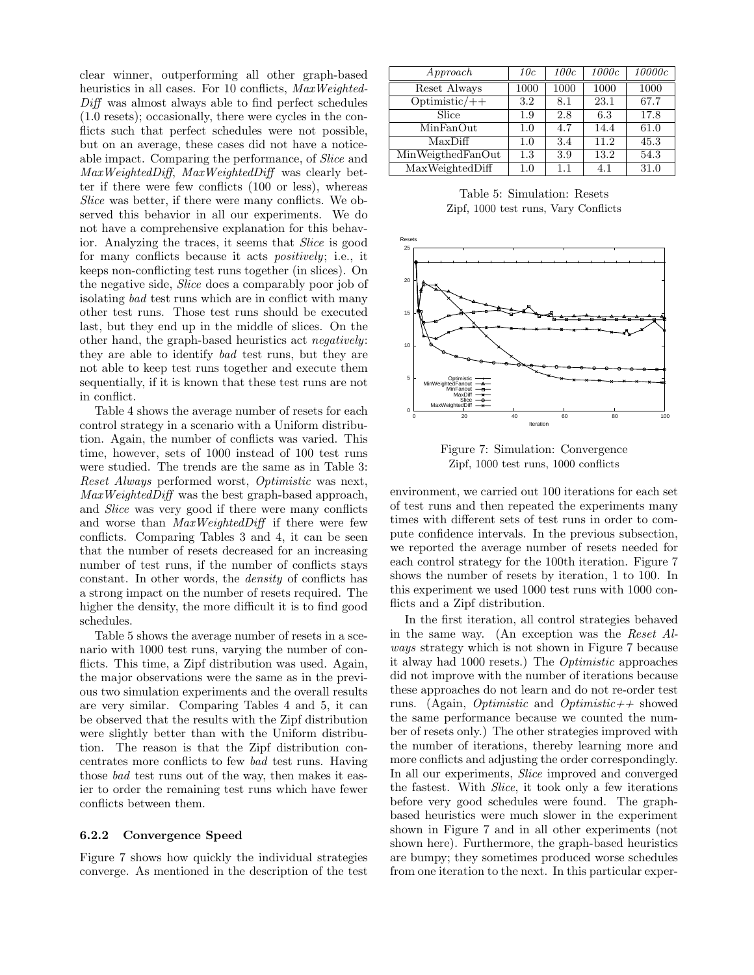clear winner, outperforming all other graph-based heuristics in all cases. For 10 conflicts,  $MaxWeighted$ -Diff was almost always able to find perfect schedules (1.0 resets); occasionally, there were cycles in the conflicts such that perfect schedules were not possible, but on an average, these cases did not have a noticeable impact. Comparing the performance, of Slice and MaxWeightedDiff, MaxWeightedDiff was clearly better if there were few conflicts (100 or less), whereas Slice was better, if there were many conflicts. We observed this behavior in all our experiments. We do not have a comprehensive explanation for this behavior. Analyzing the traces, it seems that Slice is good for many conflicts because it acts *positively*; i.e., it keeps non-conflicting test runs together (in slices). On the negative side, Slice does a comparably poor job of isolating bad test runs which are in conflict with many other test runs. Those test runs should be executed last, but they end up in the middle of slices. On the other hand, the graph-based heuristics act negatively: they are able to identify bad test runs, but they are not able to keep test runs together and execute them sequentially, if it is known that these test runs are not in conflict.

Table 4 shows the average number of resets for each control strategy in a scenario with a Uniform distribution. Again, the number of conflicts was varied. This time, however, sets of 1000 instead of 100 test runs were studied. The trends are the same as in Table 3: Reset Always performed worst, Optimistic was next, MaxWeightedDiff was the best graph-based approach, and Slice was very good if there were many conflicts and worse than MaxWeightedDiff if there were few conflicts. Comparing Tables 3 and 4, it can be seen that the number of resets decreased for an increasing number of test runs, if the number of conflicts stays constant. In other words, the density of conflicts has a strong impact on the number of resets required. The higher the density, the more difficult it is to find good schedules.

Table 5 shows the average number of resets in a scenario with 1000 test runs, varying the number of conflicts. This time, a Zipf distribution was used. Again, the major observations were the same as in the previous two simulation experiments and the overall results are very similar. Comparing Tables 4 and 5, it can be observed that the results with the Zipf distribution were slightly better than with the Uniform distribution. The reason is that the Zipf distribution concentrates more conflicts to few bad test runs. Having those bad test runs out of the way, then makes it easier to order the remaining test runs which have fewer conflicts between them.

#### 6.2.2 Convergence Speed

Figure 7 shows how quickly the individual strategies converge. As mentioned in the description of the test

| Approach          | 10c  | 100c | 1000c | 10000c |
|-------------------|------|------|-------|--------|
| Reset Always      | 1000 | 1000 | 1000  | 1000   |
| $Optimistic/++$   | 3.2  | 8.1  | 23.1  | 67.7   |
| Slice             | 1.9  | 2.8  | 6.3   | 17.8   |
| MinFanOut         | 1.0  | 4.7  | 14.4  | 61.0   |
| MaxDiff           | 1.0  | 3.4  | 11.2  | 45.3   |
| MinWeigthedFanOut | 1.3  | 3.9  | 13.2  | 54.3   |
| MaxWeightedDiff   | 1.0  | 1.1  | 4.1   | 31.0   |

Table 5: Simulation: Resets Zipf, 1000 test runs, Vary Conflicts



Figure 7: Simulation: Convergence Zipf, 1000 test runs, 1000 conflicts

environment, we carried out 100 iterations for each set of test runs and then repeated the experiments many times with different sets of test runs in order to compute confidence intervals. In the previous subsection, we reported the average number of resets needed for each control strategy for the 100th iteration. Figure 7 shows the number of resets by iteration, 1 to 100. In this experiment we used 1000 test runs with 1000 conflicts and a Zipf distribution.

In the first iteration, all control strategies behaved in the same way. (An exception was the Reset Always strategy which is not shown in Figure 7 because it alway had 1000 resets.) The Optimistic approaches did not improve with the number of iterations because these approaches do not learn and do not re-order test runs. (Again, *Optimistic* and *Optimistic*++ showed the same performance because we counted the number of resets only.) The other strategies improved with the number of iterations, thereby learning more and more conflicts and adjusting the order correspondingly. In all our experiments, Slice improved and converged the fastest. With Slice, it took only a few iterations before very good schedules were found. The graphbased heuristics were much slower in the experiment shown in Figure 7 and in all other experiments (not shown here). Furthermore, the graph-based heuristics are bumpy; they sometimes produced worse schedules from one iteration to the next. In this particular exper-